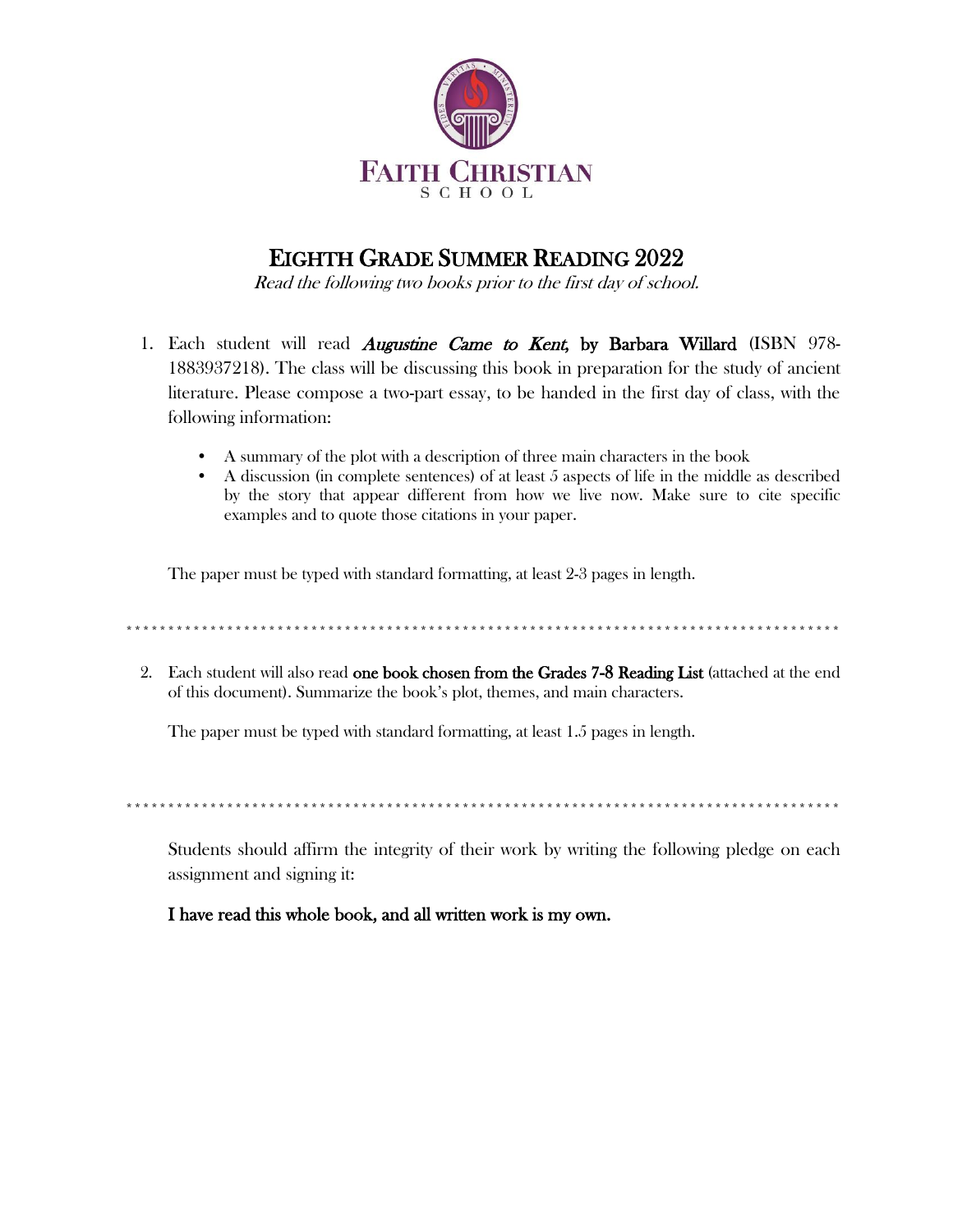

## **EIGHTH GRADE SUMMER READING 2022**

Read the following two books prior to the first day of school.

- 1. Each student will read *Augustine Came to Kent*, by Barbara Willard (ISBN 978-1883937218). The class will be discussing this book in preparation for the study of ancient literature. Please compose a two-part essay, to be handed in the first day of class, with the following information:
	- A summary of the plot with a description of three main characters in the book
	- A discussion (in complete sentences) of at least 5 aspects of life in the middle as described  $\bullet$ by the story that appear different from how we live now. Make sure to cite specific examples and to quote those citations in your paper.

The paper must be typed with standard formatting, at least 2-3 pages in length.

and the same start and the same start and the same start and the same start and the same

2. Each student will also read one book chosen from the Grades 7-8 Reading List (attached at the end of this document). Summarize the book's plot, themes, and main characters.

The paper must be typed with standard formatting, at least 1.5 pages in length.

Students should affirm the integrity of their work by writing the following pledge on each assignment and signing it:

## I have read this whole book, and all written work is my own.